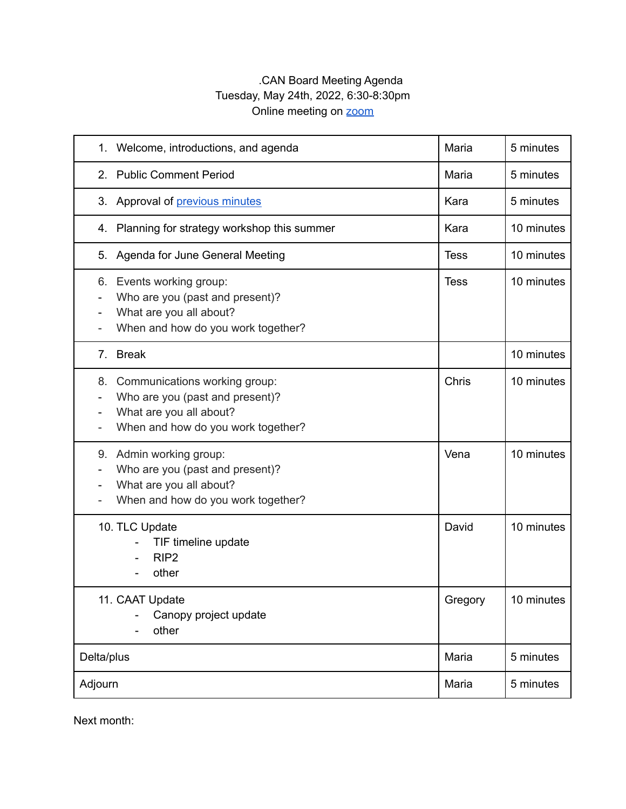## .CAN Board Meeting Agenda Tuesday, May 24th, 2022, 6:30-8:30pm Online meeting on **[zoom](https://us02web.zoom.us/j/86514042486?pwd=SXZNYUpxdThpZ3hoa3RBM0lOcHM2dz09)**

| Welcome, introductions, and agenda<br>1.                                                                                             | Maria       | 5 minutes  |
|--------------------------------------------------------------------------------------------------------------------------------------|-------------|------------|
| 2. Public Comment Period                                                                                                             | Maria       | 5 minutes  |
| 3. Approval of previous minutes                                                                                                      | Kara        | 5 minutes  |
| Planning for strategy workshop this summer<br>4.                                                                                     | Kara        | 10 minutes |
| Agenda for June General Meeting<br>5.                                                                                                | <b>Tess</b> | 10 minutes |
| 6. Events working group:<br>Who are you (past and present)?<br>What are you all about?<br>When and how do you work together?         | <b>Tess</b> | 10 minutes |
| 7. Break                                                                                                                             |             | 10 minutes |
| 8. Communications working group:<br>Who are you (past and present)?<br>What are you all about?<br>When and how do you work together? | Chris       | 10 minutes |
| 9. Admin working group:<br>Who are you (past and present)?<br>What are you all about?<br>When and how do you work together?          | Vena        | 10 minutes |
| 10. TLC Update<br>TIF timeline update<br>RIP <sub>2</sub><br>other                                                                   | David       | 10 minutes |
| 11. CAAT Update<br>Canopy project update<br>other                                                                                    | Gregory     | 10 minutes |
| Delta/plus                                                                                                                           | Maria       | 5 minutes  |
| Adjourn                                                                                                                              | Maria       | 5 minutes  |

Next month: